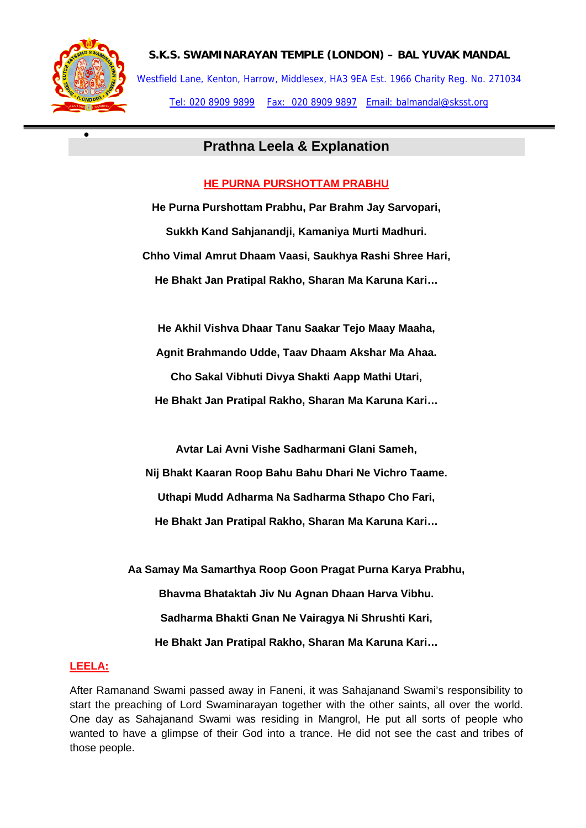

•

# **S.K.S. SWAMINARAYAN TEMPLE (LONDON) – BAL YUVAK MANDAL**  Westfield Lane, Kenton, Harrow, Middlesex, HA3 9EA Est. 1966 Charity Reg. No. 271034

Tel: 020 8909 9899 Fax: 020 8909 9897 Email: balmandal@sksst.org

# **Prathna Leela & Explanation**

# **HE PURNA PURSHOTTAM PRABHU**

**He Purna Purshottam Prabhu, Par Brahm Jay Sarvopari, Sukkh Kand Sahjanandji, Kamaniya Murti Madhuri. Chho Vimal Amrut Dhaam Vaasi, Saukhya Rashi Shree Hari, He Bhakt Jan Pratipal Rakho, Sharan Ma Karuna Kari…** 

**He Akhil Vishva Dhaar Tanu Saakar Tejo Maay Maaha, Agnit Brahmando Udde, Taav Dhaam Akshar Ma Ahaa. Cho Sakal Vibhuti Divya Shakti Aapp Mathi Utari, He Bhakt Jan Pratipal Rakho, Sharan Ma Karuna Kari…** 

**Avtar Lai Avni Vishe Sadharmani Glani Sameh,** 

**Nij Bhakt Kaaran Roop Bahu Bahu Dhari Ne Vichro Taame. Uthapi Mudd Adharma Na Sadharma Sthapo Cho Fari, He Bhakt Jan Pratipal Rakho, Sharan Ma Karuna Kari…** 

**Aa Samay Ma Samarthya Roop Goon Pragat Purna Karya Prabhu, Bhavma Bhataktah Jiv Nu Agnan Dhaan Harva Vibhu. Sadharma Bhakti Gnan Ne Vairagya Ni Shrushti Kari, He Bhakt Jan Pratipal Rakho, Sharan Ma Karuna Kari…** 

# **LEELA:**

After Ramanand Swami passed away in Faneni, it was Sahajanand Swami's responsibility to start the preaching of Lord Swaminarayan together with the other saints, all over the world. One day as Sahajanand Swami was residing in Mangrol, He put all sorts of people who wanted to have a glimpse of their God into a trance. He did not see the cast and tribes of those people.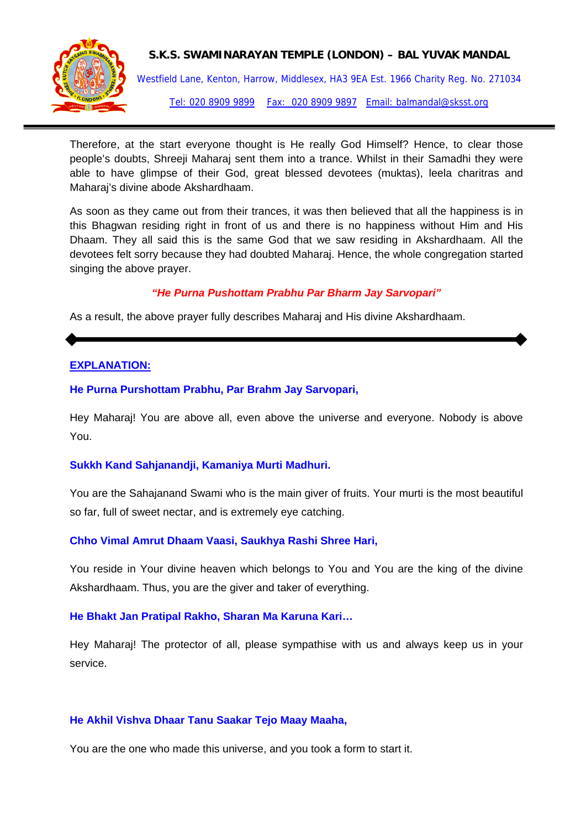

#### **S.K.S. SWAMINARAYAN TEMPLE (LONDON) – BAL YUVAK MANDAL**

Westfield Lane, Kenton, Harrow, Middlesex, HA3 9EA Est. 1966 Charity Reg. No. 271034 Tel: 020 8909 9899 Fax: 020 8909 9897 Email: balmandal@sksst.org

Therefore, at the start everyone thought is He really God Himself? Hence, to clear those people's doubts, Shreeji Maharaj sent them into a trance. Whilst in their Samadhi they were able to have glimpse of their God, great blessed devotees (muktas), leela charitras and Maharaj's divine abode Akshardhaam.

As soon as they came out from their trances, it was then believed that all the happiness is in this Bhagwan residing right in front of us and there is no happiness without Him and His Dhaam. They all said this is the same God that we saw residing in Akshardhaam. All the devotees felt sorry because they had doubted Maharaj. Hence, the whole congregation started singing the above prayer.

#### *"He Purna Pushottam Prabhu Par Bharm Jay Sarvopari"*

As a result, the above prayer fully describes Maharaj and His divine Akshardhaam.

# **EXPLANATION:**

#### **He Purna Purshottam Prabhu, Par Brahm Jay Sarvopari,**

Hey Maharaj! You are above all, even above the universe and everyone. Nobody is above You.

#### **Sukkh Kand Sahjanandji, Kamaniya Murti Madhuri.**

You are the Sahajanand Swami who is the main giver of fruits. Your murti is the most beautiful so far, full of sweet nectar, and is extremely eye catching.

#### **Chho Vimal Amrut Dhaam Vaasi, Saukhya Rashi Shree Hari,**

You reside in Your divine heaven which belongs to You and You are the king of the divine Akshardhaam. Thus, you are the giver and taker of everything.

#### **He Bhakt Jan Pratipal Rakho, Sharan Ma Karuna Kari…**

Hey Maharaj! The protector of all, please sympathise with us and always keep us in your service.

#### **He Akhil Vishva Dhaar Tanu Saakar Tejo Maay Maaha,**

You are the one who made this universe, and you took a form to start it.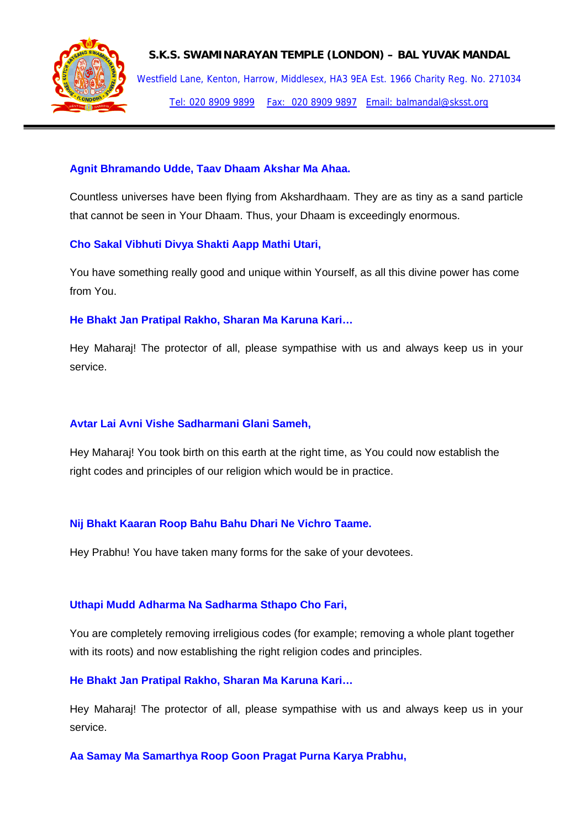

**S.K.S. SWAMINARAYAN TEMPLE (LONDON) – BAL YUVAK MANDAL** 

Westfield Lane, Kenton, Harrow, Middlesex, HA3 9EA Est. 1966 Charity Reg. No. 271034 Tel: 020 8909 9899 Fax: 020 8909 9897 Email: balmandal@sksst.org

# **Agnit Bhramando Udde, Taav Dhaam Akshar Ma Ahaa.**

Countless universes have been flying from Akshardhaam. They are as tiny as a sand particle that cannot be seen in Your Dhaam. Thus, your Dhaam is exceedingly enormous.

# **Cho Sakal Vibhuti Divya Shakti Aapp Mathi Utari,**

You have something really good and unique within Yourself, as all this divine power has come from You.

#### **He Bhakt Jan Pratipal Rakho, Sharan Ma Karuna Kari…**

Hey Maharaj! The protector of all, please sympathise with us and always keep us in your service.

# **Avtar Lai Avni Vishe Sadharmani Glani Sameh,**

Hey Maharaj! You took birth on this earth at the right time, as You could now establish the right codes and principles of our religion which would be in practice.

# **Nij Bhakt Kaaran Roop Bahu Bahu Dhari Ne Vichro Taame.**

Hey Prabhu! You have taken many forms for the sake of your devotees.

# **Uthapi Mudd Adharma Na Sadharma Sthapo Cho Fari,**

You are completely removing irreligious codes (for example; removing a whole plant together with its roots) and now establishing the right religion codes and principles.

# **He Bhakt Jan Pratipal Rakho, Sharan Ma Karuna Kari…**

Hey Maharaj! The protector of all, please sympathise with us and always keep us in your service.

**Aa Samay Ma Samarthya Roop Goon Pragat Purna Karya Prabhu,**